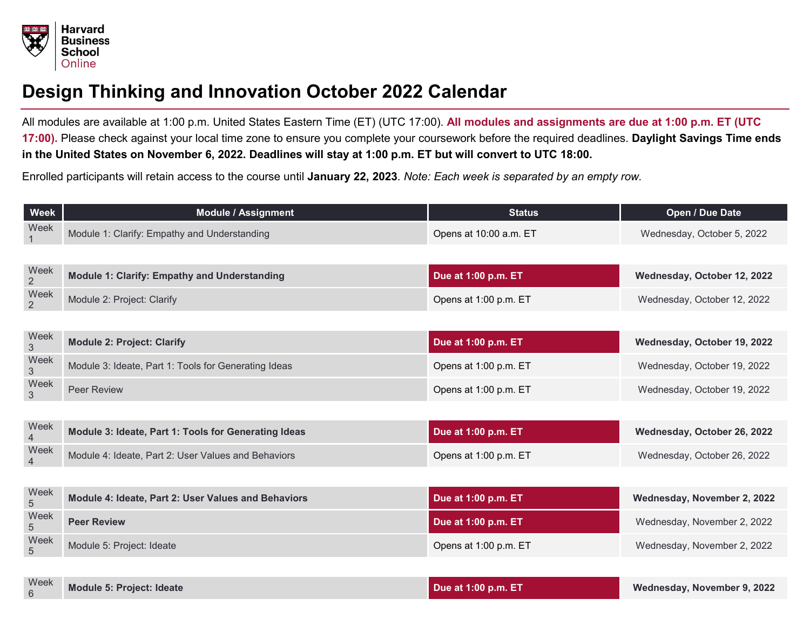

## **Design Thinking and Innovation October 2022 Calendar**

All modules are available at 1:00 p.m. United States Eastern Time (ET) (UTC 17:00). **All modules and assignments are due at 1:00 p.m. ET (UTC 17:00).** Please check against your local time zone to ensure you complete your coursework before the required deadlines. **Daylight Savings Time ends in the United States on November 6, 2022. Deadlines will stay at 1:00 p.m. ET but will convert to UTC 18:00.**

Enrolled participants will retain access to the course until **January 22, 2023**. *Note: Each week is separated by an empty row.*

| Week                   | <b>Module / Assignment</b>                           | <b>Status</b>          | Open / Due Date             |
|------------------------|------------------------------------------------------|------------------------|-----------------------------|
| Week                   | Module 1: Clarify: Empathy and Understanding         | Opens at 10:00 a.m. ET | Wednesday, October 5, 2022  |
|                        |                                                      |                        |                             |
| Week<br>$\overline{2}$ | <b>Module 1: Clarify: Empathy and Understanding</b>  | Due at 1:00 p.m. ET    | Wednesday, October 12, 2022 |
| Week<br>$\overline{2}$ | Module 2: Project: Clarify                           | Opens at 1:00 p.m. ET  | Wednesday, October 12, 2022 |
|                        |                                                      |                        |                             |
| Week<br>3              | <b>Module 2: Project: Clarify</b>                    | Due at 1:00 p.m. ET    | Wednesday, October 19, 2022 |
| Week<br>3              | Module 3: Ideate, Part 1: Tools for Generating Ideas | Opens at 1:00 p.m. ET  | Wednesday, October 19, 2022 |
| Week<br>3              | <b>Peer Review</b>                                   | Opens at 1:00 p.m. ET  | Wednesday, October 19, 2022 |
|                        |                                                      |                        |                             |
| Week<br>$\overline{4}$ | Module 3: Ideate, Part 1: Tools for Generating Ideas | Due at 1:00 p.m. ET    | Wednesday, October 26, 2022 |
| Week<br>4              | Module 4: Ideate, Part 2: User Values and Behaviors  | Opens at 1:00 p.m. ET  | Wednesday, October 26, 2022 |
|                        |                                                      |                        |                             |
| Week<br>5              | Module 4: Ideate, Part 2: User Values and Behaviors  | Due at 1:00 p.m. ET    | Wednesday, November 2, 2022 |
| Week<br>5              | <b>Peer Review</b>                                   | Due at 1:00 p.m. ET    | Wednesday, November 2, 2022 |
| Week<br>5              | Module 5: Project: Ideate                            | Opens at 1:00 p.m. ET  | Wednesday, November 2, 2022 |
|                        |                                                      |                        |                             |